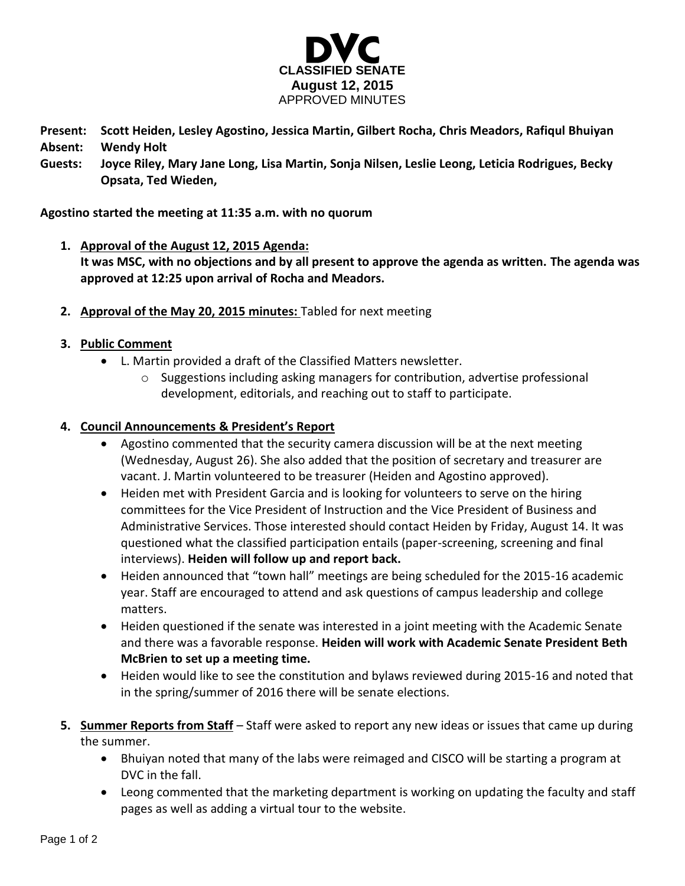

**Present: Scott Heiden, Lesley Agostino, Jessica Martin, Gilbert Rocha, Chris Meadors, Rafiqul Bhuiyan Absent: Wendy Holt**

**Guests: Joyce Riley, Mary Jane Long, Lisa Martin, Sonja Nilsen, Leslie Leong, Leticia Rodrigues, Becky Opsata, Ted Wieden,** 

**Agostino started the meeting at 11:35 a.m. with no quorum**

- **1. Approval of the August 12, 2015 Agenda: It was MSC, with no objections and by all present to approve the agenda as written. The agenda was approved at 12:25 upon arrival of Rocha and Meadors.**
- **2. Approval of the May 20, 2015 minutes:** Tabled for next meeting

## **3. Public Comment**

- L. Martin provided a draft of the Classified Matters newsletter.
	- $\circ$  Suggestions including asking managers for contribution, advertise professional development, editorials, and reaching out to staff to participate.

## **4. Council Announcements & President's Report**

- Agostino commented that the security camera discussion will be at the next meeting (Wednesday, August 26). She also added that the position of secretary and treasurer are vacant. J. Martin volunteered to be treasurer (Heiden and Agostino approved).
- Heiden met with President Garcia and is looking for volunteers to serve on the hiring committees for the Vice President of Instruction and the Vice President of Business and Administrative Services. Those interested should contact Heiden by Friday, August 14. It was questioned what the classified participation entails (paper-screening, screening and final interviews). **Heiden will follow up and report back.**
- Heiden announced that "town hall" meetings are being scheduled for the 2015-16 academic year. Staff are encouraged to attend and ask questions of campus leadership and college matters.
- Heiden questioned if the senate was interested in a joint meeting with the Academic Senate and there was a favorable response. **Heiden will work with Academic Senate President Beth McBrien to set up a meeting time.**
- Heiden would like to see the constitution and bylaws reviewed during 2015-16 and noted that in the spring/summer of 2016 there will be senate elections.
- **5. Summer Reports from Staff** Staff were asked to report any new ideas or issues that came up during the summer.
	- Bhuiyan noted that many of the labs were reimaged and CISCO will be starting a program at DVC in the fall.
	- Leong commented that the marketing department is working on updating the faculty and staff pages as well as adding a virtual tour to the website.